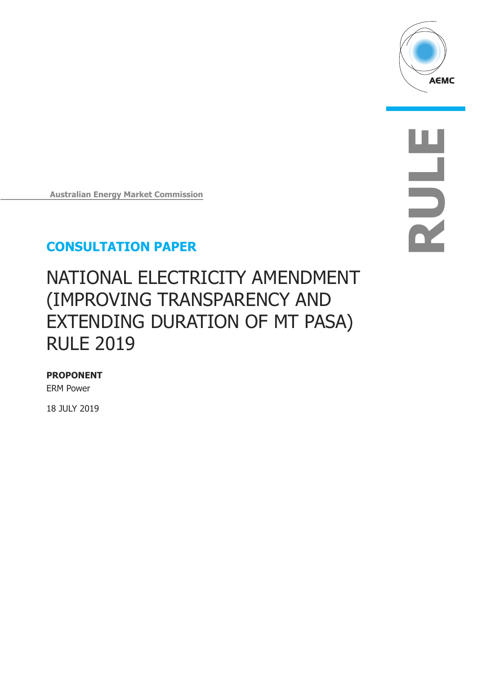

**RULE**

**Australian Energy Market Commission**

## **CONSULTATION PAPER**

# NATIONAL ELECTRICITY AMENDMENT (IMPROVING TRANSPARENCY AND EXTENDING DURATION OF MT PASA) RULE 2019

### **PROPONENT**

ERM Power

18 JULY 2019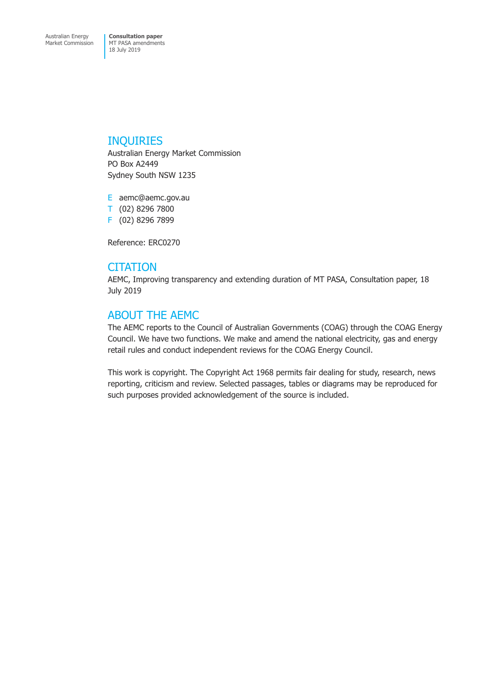### INQUIRIES

Australian Energy Market Commission PO Box A2449 Sydney South NSW 1235

E aemc@aemc.gov.au T (02) 8296 7800 F (02) 8296 7899

Reference: ERC0270

### **CITATION**

AEMC, Improving transparency and extending duration of MT PASA, Consultation paper, 18 July 2019

## ABOUT THE AEMC

The AEMC reports to the Council of Australian Governments (COAG) through the COAG Energy Council. We have two functions. We make and amend the national electricity, gas and energy retail rules and conduct independent reviews for the COAG Energy Council.

This work is copyright. The Copyright Act 1968 permits fair dealing for study, research, news reporting, criticism and review. Selected passages, tables or diagrams may be reproduced for such purposes provided acknowledgement of the source is included.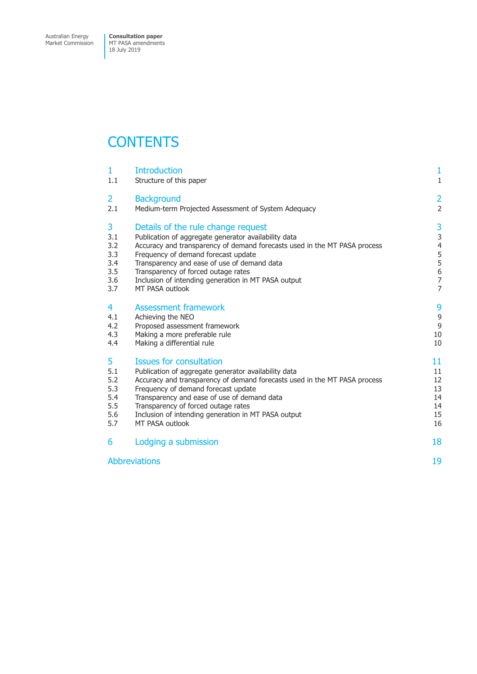## **CONTENTS**

|                      | 1<br>1.1                                           | <b>Introduction</b><br>Structure of this paper                                                                                                                                                                                                                                                                                                                                 | $\mathbf{1}$<br>$\mathbf{1}$                 |
|----------------------|----------------------------------------------------|--------------------------------------------------------------------------------------------------------------------------------------------------------------------------------------------------------------------------------------------------------------------------------------------------------------------------------------------------------------------------------|----------------------------------------------|
|                      | $\overline{2}$<br>2.1                              | <b>Background</b><br>Medium-term Projected Assessment of System Adequacy                                                                                                                                                                                                                                                                                                       | $\overline{a}$<br>$\overline{a}$             |
|                      | 3<br>3.1<br>3.2<br>3.3<br>3.4<br>3.5<br>3.6<br>3.7 | Details of the rule change request<br>Publication of aggregate generator availability data<br>Accuracy and transparency of demand forecasts used in the MT PASA process<br>Frequency of demand forecast update<br>Transparency and ease of use of demand data<br>Transparency of forced outage rates<br>Inclusion of intending generation in MT PASA output<br>MT PASA outlook | 3<br>3<br>4<br>5<br>5<br>6<br>7<br>7         |
|                      | 4<br>4.1<br>4.2<br>4.3<br>4.4                      | <b>Assessment framework</b><br>Achieving the NEO<br>Proposed assessment framework<br>Making a more preferable rule<br>Making a differential rule                                                                                                                                                                                                                               | 9<br>g<br>g<br>10<br>10                      |
|                      | 5<br>5.1<br>5.2<br>5.3<br>5.4<br>5.5<br>5.6<br>5.7 | Issues for consultation<br>Publication of aggregate generator availability data<br>Accuracy and transparency of demand forecasts used in the MT PASA process<br>Frequency of demand forecast update<br>Transparency and ease of use of demand data<br>Transparency of forced outage rates<br>Inclusion of intending generation in MT PASA output<br>MT PASA outlook            | 11<br>11<br>12<br>13<br>14<br>14<br>15<br>16 |
|                      | 6                                                  | Lodging a submission                                                                                                                                                                                                                                                                                                                                                           | 18                                           |
| <b>Abbreviations</b> |                                                    |                                                                                                                                                                                                                                                                                                                                                                                | 19                                           |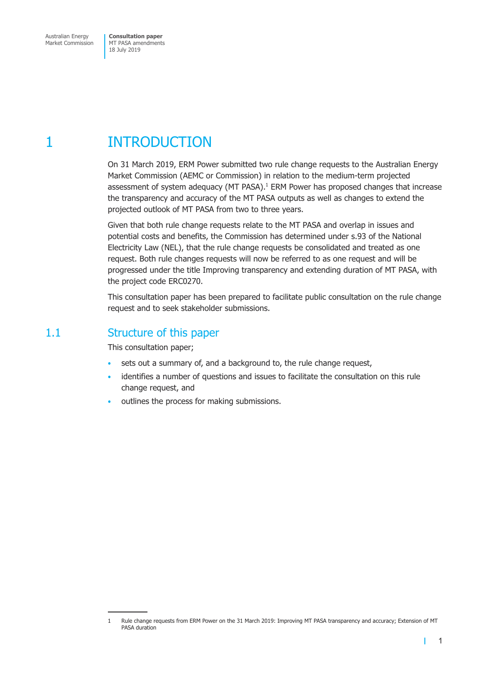Australian Energy Market Commission **Consultation paper** MT PASA amendments 18 July 2019

## 1 INTRODUCTION

On 31 March 2019, ERM Power submitted two rule change requests to the Australian Energy Market Commission (AEMC or Commission) in relation to the medium-term projected assessment of system adequacy (MT PASA). $<sup>1</sup>$  ERM Power has proposed changes that increase</sup> the transparency and accuracy of the MT PASA outputs as well as changes to extend the projected outlook of MT PASA from two to three years.

Given that both rule change requests relate to the MT PASA and overlap in issues and potential costs and benefits, the Commission has determined under s.93 of the National Electricity Law (NEL), that the rule change requests be consolidated and treated as one request. Both rule changes requests will now be referred to as one request and will be progressed under the title Improving transparency and extending duration of MT PASA, with the project code ERC0270.

This consultation paper has been prepared to facilitate public consultation on the rule change request and to seek stakeholder submissions.

## 1.1 Structure of this paper

This consultation paper;

- sets out a summary of, and a background to, the rule change request,
- identifies a number of questions and issues to facilitate the consultation on this rule change request, and
- outlines the process for making submissions.

 $\mathbf{L}$ 

<sup>1</sup> Rule change requests from ERM Power on the 31 March 2019: Improving MT PASA transparency and accuracy; Extension of MT PASA duration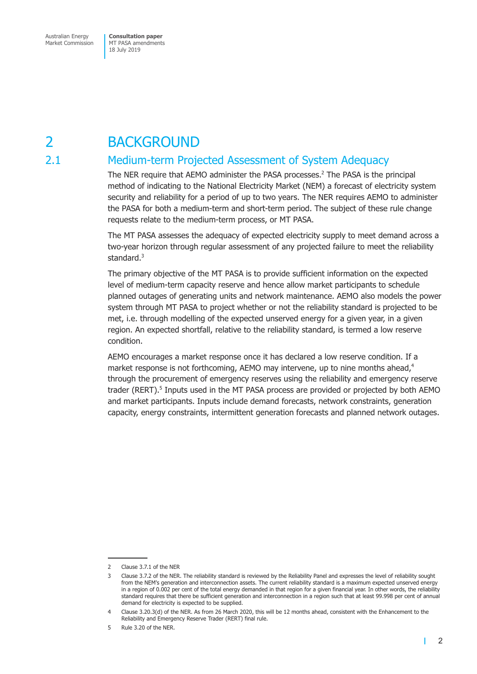## 2 BACKGROUND

## 2.1 Medium-term Projected Assessment of System Adequacy

The NER require that AEMO administer the PASA processes.<sup>2</sup> The PASA is the principal method of indicating to the National Electricity Market (NEM) a forecast of electricity system security and reliability for a period of up to two years. The NER requires AEMO to administer the PASA for both a medium-term and short-term period. The subject of these rule change requests relate to the medium-term process, or MT PASA.

The MT PASA assesses the adequacy of expected electricity supply to meet demand across a two-year horizon through regular assessment of any projected failure to meet the reliability standard.<sup>3</sup>

The primary objective of the MT PASA is to provide sufficient information on the expected level of medium-term capacity reserve and hence allow market participants to schedule planned outages of generating units and network maintenance. AEMO also models the power system through MT PASA to project whether or not the reliability standard is projected to be met, i.e. through modelling of the expected unserved energy for a given year, in a given region. An expected shortfall, relative to the reliability standard, is termed a low reserve condition.

AEMO encourages a market response once it has declared a low reserve condition. If a market response is not forthcoming, AEMO may intervene, up to nine months ahead,<sup>4</sup> through the procurement of emergency reserves using the reliability and emergency reserve trader (RERT).<sup>5</sup> Inputs used in the MT PASA process are provided or projected by both AEMO and market participants. Inputs include demand forecasts, network constraints, generation capacity, energy constraints, intermittent generation forecasts and planned network outages.

т

<sup>2</sup> Clause 3.7.1 of the NER

<sup>3</sup> Clause 3.7.2 of the NER. The reliability standard is reviewed by the Reliability Panel and expresses the level of reliability sought from the NEM's generation and interconnection assets. The current reliability standard is a maximum expected unserved energy in a region of 0.002 per cent of the total energy demanded in that region for a given financial year. In other words, the reliability standard requires that there be sufficient generation and interconnection in a region such that at least 99.998 per cent of annual demand for electricity is expected to be supplied.

<sup>4</sup> Clause 3.20.3(d) of the NER. As from 26 March 2020, this will be 12 months ahead, consistent with the Enhancement to the Reliability and Emergency Reserve Trader (RERT) final rule.

<sup>5</sup> Rule 3.20 of the NER.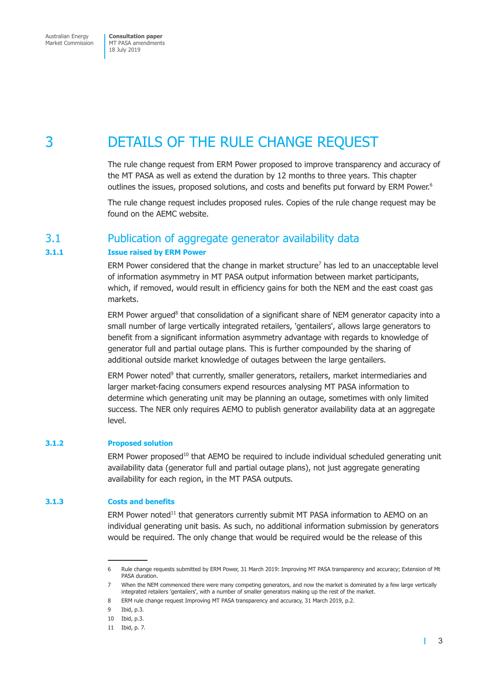## 3 DETAILS OF THE RULE CHANGE REQUEST

The rule change request from ERM Power proposed to improve transparency and accuracy of the MT PASA as well as extend the duration by 12 months to three years. This chapter outlines the issues, proposed solutions, and costs and benefits put forward by ERM Power.<sup>6</sup>

The rule change request includes proposed rules. Copies of the rule change request may be found on the AEMC website.

### 3.1 Publication of aggregate generator availability data

#### **3.1.1 Issue raised by ERM Power**

 $ERM$  Power considered that the change in market structure<sup>7</sup> has led to an unacceptable level of information asymmetry in MT PASA output information between market participants, which, if removed, would result in efficiency gains for both the NEM and the east coast gas markets.

ERM Power argued<sup>8</sup> that consolidation of a significant share of NEM generator capacity into a small number of large vertically integrated retailers, 'gentailers', allows large generators to benefit from a significant information asymmetry advantage with regards to knowledge of generator full and partial outage plans. This is further compounded by the sharing of additional outside market knowledge of outages between the large gentailers.

ERM Power noted<sup>9</sup> that currently, smaller generators, retailers, market intermediaries and larger market-facing consumers expend resources analysing MT PASA information to determine which generating unit may be planning an outage, sometimes with only limited success. The NER only requires AEMO to publish generator availability data at an aggregate level.

#### **3.1.2 Proposed solution**

ERM Power proposed<sup>10</sup> that AEMO be required to include individual scheduled generating unit availability data (generator full and partial outage plans), not just aggregate generating availability for each region, in the MT PASA outputs.

#### **3.1.3 Costs and benefits**

 $ERM$  Power noted $<sup>11</sup>$  that generators currently submit MT PASA information to AEMO on an</sup> individual generating unit basis. As such, no additional information submission by generators would be required. The only change that would be required would be the release of this

 $\mathbf{I}$ 

<sup>6</sup> Rule change requests submitted by ERM Power, 31 March 2019: Improving MT PASA transparency and accuracy; Extension of Mt PASA duration.

<sup>7</sup> When the NEM commenced there were many competing generators, and now the market is dominated by a few large vertically integrated retailers 'gentailers', with a number of smaller generators making up the rest of the market.

<sup>8</sup> ERM rule change request Improving MT PASA transparency and accuracy, 31 March 2019, p.2.

<sup>9</sup> Ibid, p.3.

<sup>10</sup> Ibid, p.3.

<sup>11</sup> Ibid, p. 7.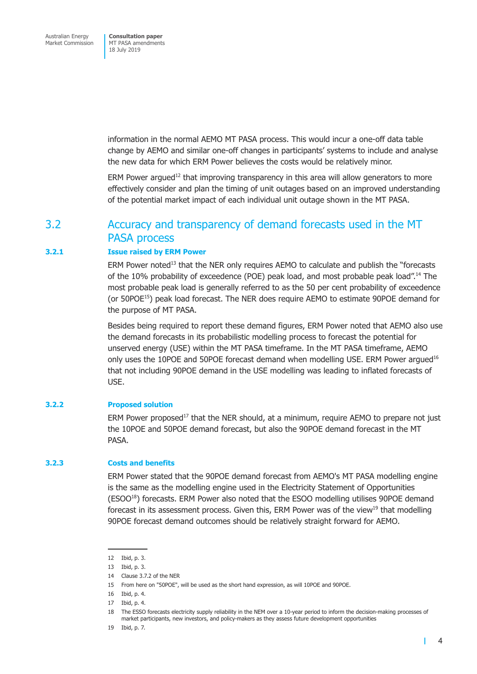information in the normal AEMO MT PASA process. This would incur a one-off data table change by AEMO and similar one-off changes in participants' systems to include and analyse the new data for which ERM Power believes the costs would be relatively minor.

ERM Power argued<sup>12</sup> that improving transparency in this area will allow generators to more effectively consider and plan the timing of unit outages based on an improved understanding of the potential market impact of each individual unit outage shown in the MT PASA.

### 3.2 Accuracy and transparency of demand forecasts used in the MT PASA process

#### **3.2.1 Issue raised by ERM Power**

ERM Power noted<sup>13</sup> that the NER only requires AEMO to calculate and publish the "forecasts of the 10% probability of exceedence (POE) peak load, and most probable peak load".14 The most probable peak load is generally referred to as the 50 per cent probability of exceedence (or 50POE<sup>15</sup>) peak load forecast. The NER does require AEMO to estimate 90POE demand for the purpose of MT PASA.

Besides being required to report these demand figures, ERM Power noted that AEMO also use the demand forecasts in its probabilistic modelling process to forecast the potential for unserved energy (USE) within the MT PASA timeframe. In the MT PASA timeframe, AEMO only uses the 10POE and 50POE forecast demand when modelling USE. ERM Power argued<sup>16</sup> that not including 90POE demand in the USE modelling was leading to inflated forecasts of USE.

#### **3.2.2 Proposed solution**

ERM Power proposed<sup>17</sup> that the NER should, at a minimum, require AEMO to prepare not just the 10POE and 50POE demand forecast, but also the 90POE demand forecast in the MT PASA.

#### **3.2.3 Costs and benefits**

ERM Power stated that the 90POE demand forecast from AEMO's MT PASA modelling engine is the same as the modelling engine used in the Electricity Statement of Opportunities (ESOO18) forecasts. ERM Power also noted that the ESOO modelling utilises 90POE demand forecast in its assessment process. Given this, ERM Power was of the view<sup>19</sup> that modelling 90POE forecast demand outcomes should be relatively straight forward for AEMO.

 $\mathbf{I}$ 

<sup>12</sup> Ibid, p. 3.

<sup>13</sup> Ibid, p. 3.

<sup>14</sup> Clause 3.7.2 of the NER

<sup>15</sup> From here on "50POE", will be used as the short hand expression, as will 10POE and 90POE.

<sup>16</sup> Ibid, p. 4.

<sup>17</sup> Ibid, p. 4.

<sup>18</sup> The ESSO forecasts electricity supply reliability in the NEM over a 10-year period to inform the decision-making processes of market participants, new investors, and policy-makers as they assess future development opportunities

<sup>19</sup> Ibid, p. 7.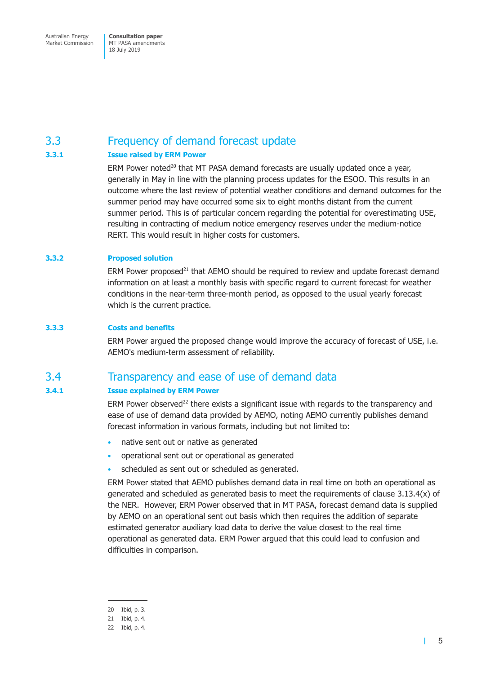## 3.3 Frequency of demand forecast update

#### **3.3.1 Issue raised by ERM Power**

ERM Power noted<sup>20</sup> that MT PASA demand forecasts are usually updated once a year, generally in May in line with the planning process updates for the ESOO. This results in an outcome where the last review of potential weather conditions and demand outcomes for the summer period may have occurred some six to eight months distant from the current summer period. This is of particular concern regarding the potential for overestimating USE, resulting in contracting of medium notice emergency reserves under the medium-notice RERT. This would result in higher costs for customers.

#### **3.3.2 Proposed solution**

ERM Power proposed<sup>21</sup> that AEMO should be required to review and update forecast demand information on at least a monthly basis with specific regard to current forecast for weather conditions in the near-term three-month period, as opposed to the usual yearly forecast which is the current practice.

#### **3.3.3 Costs and benefits**

ERM Power argued the proposed change would improve the accuracy of forecast of USE, i.e. AEMO's medium-term assessment of reliability.

## 3.4 Transparency and ease of use of demand data

#### **3.4.1 Issue explained by ERM Power**

ERM Power observed<sup>22</sup> there exists a significant issue with regards to the transparency and ease of use of demand data provided by AEMO, noting AEMO currently publishes demand forecast information in various formats, including but not limited to:

- native sent out or native as generated
- operational sent out or operational as generated
- scheduled as sent out or scheduled as generated.

ERM Power stated that AEMO publishes demand data in real time on both an operational as generated and scheduled as generated basis to meet the requirements of clause 3.13.4(x) of the NER. However, ERM Power observed that in MT PASA, forecast demand data is supplied by AEMO on an operational sent out basis which then requires the addition of separate estimated generator auxiliary load data to derive the value closest to the real time operational as generated data. ERM Power argued that this could lead to confusion and difficulties in comparison.

т

<sup>20</sup> Ibid, p. 3.

<sup>21</sup> Ibid, p. 4.

<sup>22</sup> Ibid, p. 4.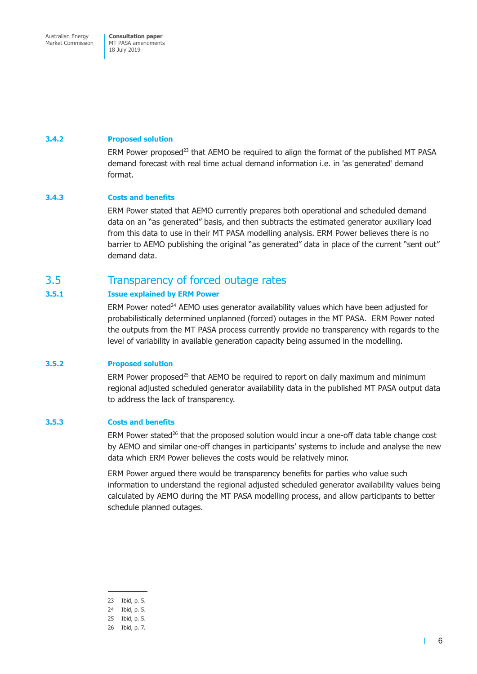#### **3.4.2 Proposed solution**

ERM Power proposed<sup>23</sup> that AEMO be required to align the format of the published MT PASA demand forecast with real time actual demand information i.e. in 'as generated' demand format.

#### **3.4.3 Costs and benefits**

ERM Power stated that AEMO currently prepares both operational and scheduled demand data on an "as generated" basis, and then subtracts the estimated generator auxiliary load from this data to use in their MT PASA modelling analysis. ERM Power believes there is no barrier to AEMO publishing the original "as generated" data in place of the current "sent out" demand data.

### 3.5 Transparency of forced outage rates

#### **3.5.1 Issue explained by ERM Power**

ERM Power noted<sup>24</sup> AEMO uses generator availability values which have been adjusted for probabilistically determined unplanned (forced) outages in the MT PASA. ERM Power noted the outputs from the MT PASA process currently provide no transparency with regards to the level of variability in available generation capacity being assumed in the modelling.

#### **3.5.2 Proposed solution**

ERM Power proposed<sup>25</sup> that AEMO be required to report on daily maximum and minimum regional adjusted scheduled generator availability data in the published MT PASA output data to address the lack of transparency.

#### **3.5.3 Costs and benefits**

ERM Power stated<sup>26</sup> that the proposed solution would incur a one-off data table change cost by AEMO and similar one-off changes in participants' systems to include and analyse the new data which ERM Power believes the costs would be relatively minor.

ERM Power argued there would be transparency benefits for parties who value such information to understand the regional adjusted scheduled generator availability values being calculated by AEMO during the MT PASA modelling process, and allow participants to better schedule planned outages.

23 Ibid, p. 5.

т

<sup>24</sup> Ibid, p. 5.

<sup>25</sup> Ibid, p. 5.

<sup>26</sup> Ibid, p. 7.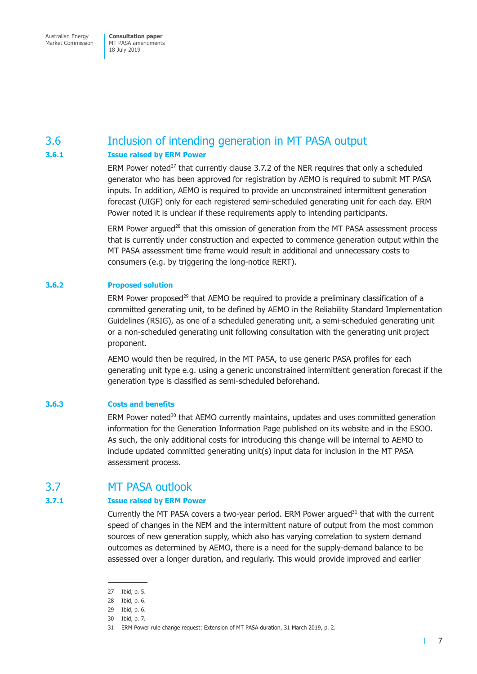## 3.6 Inclusion of intending generation in MT PASA output

#### **3.6.1 Issue raised by ERM Power**

ERM Power noted<sup>27</sup> that currently clause 3.7.2 of the NER requires that only a scheduled generator who has been approved for registration by AEMO is required to submit MT PASA inputs. In addition, AEMO is required to provide an unconstrained intermittent generation forecast (UIGF) only for each registered semi-scheduled generating unit for each day. ERM Power noted it is unclear if these requirements apply to intending participants.

 $ERM$  Power argued<sup>28</sup> that this omission of generation from the MT PASA assessment process that is currently under construction and expected to commence generation output within the MT PASA assessment time frame would result in additional and unnecessary costs to consumers (e.g. by triggering the long-notice RERT).

#### **3.6.2 Proposed solution**

ERM Power proposed<sup>29</sup> that AEMO be required to provide a preliminary classification of a committed generating unit, to be defined by AEMO in the Reliability Standard Implementation Guidelines (RSIG), as one of a scheduled generating unit, a semi-scheduled generating unit or a non-scheduled generating unit following consultation with the generating unit project proponent.

AEMO would then be required, in the MT PASA, to use generic PASA profiles for each generating unit type e.g. using a generic unconstrained intermittent generation forecast if the generation type is classified as semi-scheduled beforehand.

#### **3.6.3 Costs and benefits**

ERM Power noted<sup>30</sup> that AEMO currently maintains, updates and uses committed generation information for the Generation Information Page published on its website and in the ESOO. As such, the only additional costs for introducing this change will be internal to AEMO to include updated committed generating unit(s) input data for inclusion in the MT PASA assessment process.

### 3.7 MT PASA outlook

#### **3.7.1 Issue raised by ERM Power**

Currently the MT PASA covers a two-year period. ERM Power argued $31$  that with the current speed of changes in the NEM and the intermittent nature of output from the most common sources of new generation supply, which also has varying correlation to system demand outcomes as determined by AEMO, there is a need for the supply-demand balance to be assessed over a longer duration, and regularly. This would provide improved and earlier

T.

<sup>27</sup> Ibid, p. 5.

<sup>28</sup> Ibid, p. 6.

<sup>29</sup> Ibid, p. 6.

<sup>30</sup> Ibid, p. 7.

<sup>31</sup> ERM Power rule change request: Extension of MT PASA duration, 31 March 2019, p. 2.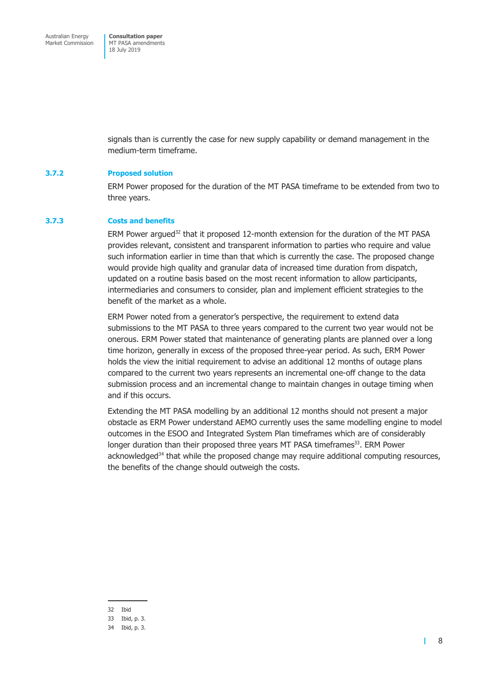signals than is currently the case for new supply capability or demand management in the medium-term timeframe.

#### **3.7.2 Proposed solution**

ERM Power proposed for the duration of the MT PASA timeframe to be extended from two to three years.

#### **3.7.3 Costs and benefits**

ERM Power argued<sup>32</sup> that it proposed 12-month extension for the duration of the MT PASA provides relevant, consistent and transparent information to parties who require and value such information earlier in time than that which is currently the case. The proposed change would provide high quality and granular data of increased time duration from dispatch, updated on a routine basis based on the most recent information to allow participants, intermediaries and consumers to consider, plan and implement efficient strategies to the benefit of the market as a whole.

ERM Power noted from a generator's perspective, the requirement to extend data submissions to the MT PASA to three years compared to the current two year would not be onerous. ERM Power stated that maintenance of generating plants are planned over a long time horizon, generally in excess of the proposed three-year period. As such, ERM Power holds the view the initial requirement to advise an additional 12 months of outage plans compared to the current two years represents an incremental one-off change to the data submission process and an incremental change to maintain changes in outage timing when and if this occurs.

Extending the MT PASA modelling by an additional 12 months should not present a major obstacle as ERM Power understand AEMO currently uses the same modelling engine to model outcomes in the ESOO and Integrated System Plan timeframes which are of considerably longer duration than their proposed three years MT PASA timeframes<sup>33</sup>. ERM Power  $acknowledged<sup>34</sup>$  that while the proposed change may require additional computing resources, the benefits of the change should outweigh the costs.

32 Ibid

 $\mathbf{I}$ 

<sup>33</sup> Ibid, p. 3.

<sup>34</sup> Ibid, p. 3.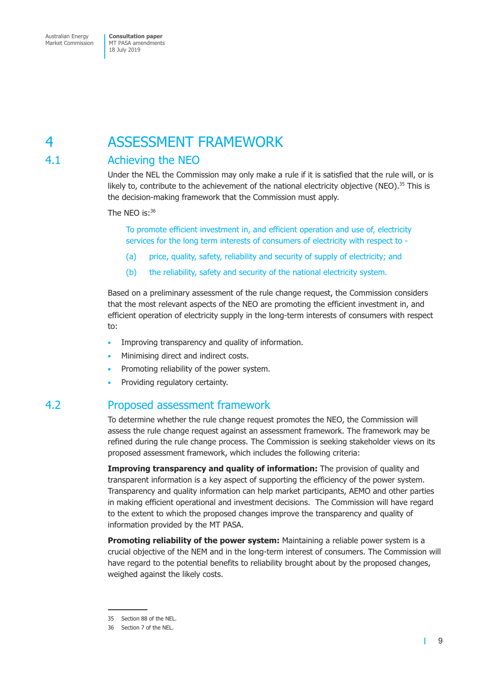## 4 ASSESSMENT FRAMEWORK

## 4.1 Achieving the NEO

Under the NEL the Commission may only make a rule if it is satisfied that the rule will, or is likely to, contribute to the achievement of the national electricity objective (NEO).<sup>35</sup> This is the decision-making framework that the Commission must apply.

The NEO is:<sup>36</sup>

To promote efficient investment in, and efficient operation and use of, electricity services for the long term interests of consumers of electricity with respect to -

- (a) price, quality, safety, reliability and security of supply of electricity; and
- (b) the reliability, safety and security of the national electricity system.

Based on a preliminary assessment of the rule change request, the Commission considers that the most relevant aspects of the NEO are promoting the efficient investment in, and efficient operation of electricity supply in the long-term interests of consumers with respect to:

- Improving transparency and quality of information.
- Minimising direct and indirect costs.
- Promoting reliability of the power system.
- Providing regulatory certainty.

## 4.2 Proposed assessment framework

To determine whether the rule change request promotes the NEO, the Commission will assess the rule change request against an assessment framework. The framework may be refined during the rule change process. The Commission is seeking stakeholder views on its proposed assessment framework, which includes the following criteria:

**Improving transparency and quality of information:** The provision of quality and transparent information is a key aspect of supporting the efficiency of the power system. Transparency and quality information can help market participants, AEMO and other parties in making efficient operational and investment decisions. The Commission will have regard to the extent to which the proposed changes improve the transparency and quality of information provided by the MT PASA.

**Promoting reliability of the power system:** Maintaining a reliable power system is a crucial objective of the NEM and in the long-term interest of consumers. The Commission will have regard to the potential benefits to reliability brought about by the proposed changes, weighed against the likely costs.

T

<sup>35</sup> Section 88 of the NEL.

<sup>36</sup> Section 7 of the NEL.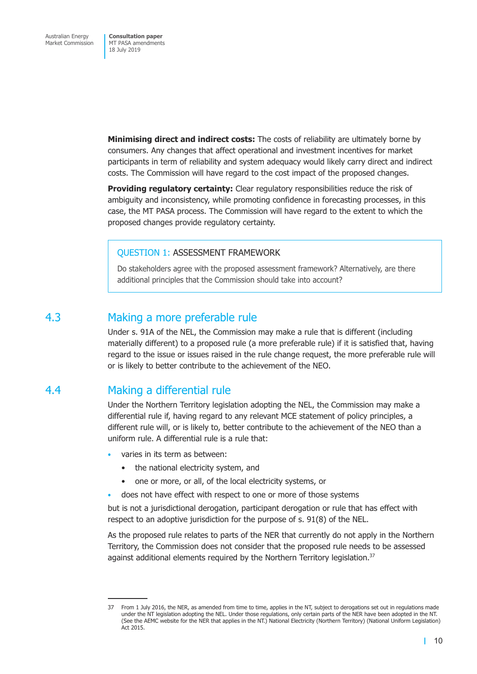**Minimising direct and indirect costs:** The costs of reliability are ultimately borne by consumers. Any changes that affect operational and investment incentives for market participants in term of reliability and system adequacy would likely carry direct and indirect costs. The Commission will have regard to the cost impact of the proposed changes.

**Providing regulatory certainty:** Clear regulatory responsibilities reduce the risk of ambiguity and inconsistency, while promoting confidence in forecasting processes, in this case, the MT PASA process. The Commission will have regard to the extent to which the proposed changes provide regulatory certainty.

#### QUESTION 1: ASSESSMENT FRAMEWORK

Do stakeholders agree with the proposed assessment framework? Alternatively, are there additional principles that the Commission should take into account?

### 4.3 Making a more preferable rule

Under s. 91A of the NEL, the Commission may make a rule that is different (including materially different) to a proposed rule (a more preferable rule) if it is satisfied that, having regard to the issue or issues raised in the rule change request, the more preferable rule will or is likely to better contribute to the achievement of the NEO.

## 4.4 Making a differential rule

Under the Northern Territory legislation adopting the NEL, the Commission may make a differential rule if, having regard to any relevant MCE statement of policy principles, a different rule will, or is likely to, better contribute to the achievement of the NEO than a uniform rule. A differential rule is a rule that:

- varies in its term as between:
	- the national electricity system, and
	- one or more, or all, of the local electricity systems, or
- does not have effect with respect to one or more of those systems

but is not a jurisdictional derogation, participant derogation or rule that has effect with respect to an adoptive jurisdiction for the purpose of s. 91(8) of the NEL.

As the proposed rule relates to parts of the NER that currently do not apply in the Northern Territory, the Commission does not consider that the proposed rule needs to be assessed against additional elements required by the Northern Territory legislation. $37$ 

<sup>37</sup> From 1 July 2016, the NER, as amended from time to time, applies in the NT, subject to derogations set out in regulations made under the NT legislation adopting the NEL. Under those regulations, only certain parts of the NER have been adopted in the NT. (See the AEMC website for the NER that applies in the NT.) National Electricity (Northern Territory) (National Uniform Legislation) Act 2015.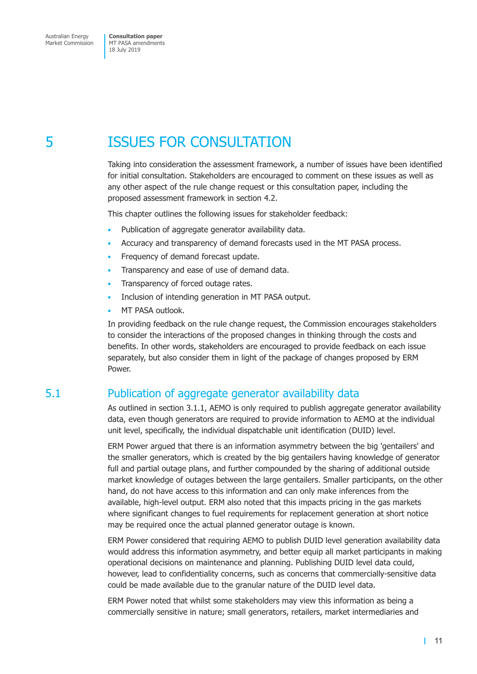5 ISSUES FOR CONSULTATION

Taking into consideration the assessment framework, a number of issues have been identified for initial consultation. Stakeholders are encouraged to comment on these issues as well as any other aspect of the rule change request or this consultation paper, including the proposed assessment framework in section 4.2.

This chapter outlines the following issues for stakeholder feedback:

- Publication of aggregate generator availability data.
- Accuracy and transparency of demand forecasts used in the MT PASA process.
- Frequency of demand forecast update.
- Transparency and ease of use of demand data.
- Transparency of forced outage rates.
- Inclusion of intending generation in MT PASA output.
- MT PASA outlook.

In providing feedback on the rule change request, the Commission encourages stakeholders to consider the interactions of the proposed changes in thinking through the costs and benefits. In other words, stakeholders are encouraged to provide feedback on each issue separately, but also consider them in light of the package of changes proposed by ERM Power.

## 5.1 Publication of aggregate generator availability data

As outlined in section 3.1.1, AEMO is only required to publish aggregate generator availability data, even though generators are required to provide information to AEMO at the individual unit level, specifically, the individual dispatchable unit identification (DUID) level.

ERM Power argued that there is an information asymmetry between the big 'gentailers' and the smaller generators, which is created by the big gentailers having knowledge of generator full and partial outage plans, and further compounded by the sharing of additional outside market knowledge of outages between the large gentailers. Smaller participants, on the other hand, do not have access to this information and can only make inferences from the available, high-level output. ERM also noted that this impacts pricing in the gas markets where significant changes to fuel requirements for replacement generation at short notice may be required once the actual planned generator outage is known.

ERM Power considered that requiring AEMO to publish DUID level generation availability data would address this information asymmetry, and better equip all market participants in making operational decisions on maintenance and planning. Publishing DUID level data could, however, lead to confidentiality concerns, such as concerns that commercially-sensitive data could be made available due to the granular nature of the DUID level data.

ERM Power noted that whilst some stakeholders may view this information as being a commercially sensitive in nature; small generators, retailers, market intermediaries and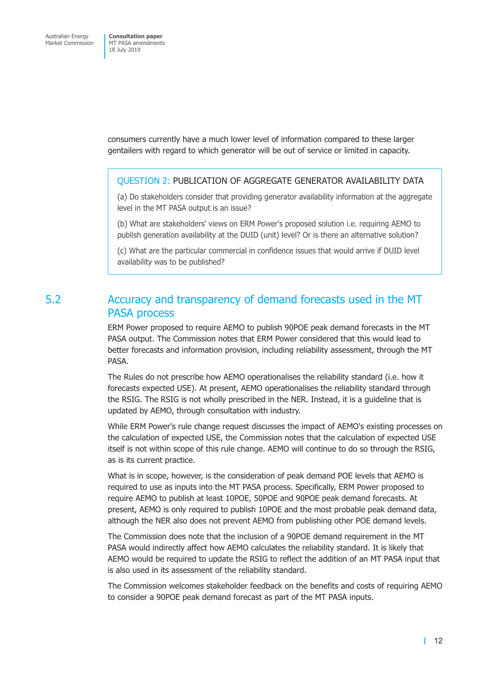consumers currently have a much lower level of information compared to these larger gentailers with regard to which generator will be out of service or limited in capacity.

#### QUESTION 2: PUBLICATION OF AGGREGATE GENERATOR AVAILABILITY DATA

(a) Do stakeholders consider that providing generator availability information at the aggregate level in the MT PASA output is an issue?

(b) What are stakeholders' views on ERM Power's proposed solution i.e. requiring AEMO to publish generation availability at the DUID (unit) level? Or is there an alternative solution?

(c) What are the particular commercial in confidence issues that would arrive if DUID level availability was to be published?

## 5.2 Accuracy and transparency of demand forecasts used in the MT PASA process

ERM Power proposed to require AEMO to publish 90POE peak demand forecasts in the MT PASA output. The Commission notes that ERM Power considered that this would lead to better forecasts and information provision, including reliability assessment, through the MT PASA.

The Rules do not prescribe how AEMO operationalises the reliability standard (i.e. how it forecasts expected USE). At present, AEMO operationalises the reliability standard through the RSIG. The RSIG is not wholly prescribed in the NER. Instead, it is a guideline that is updated by AEMO, through consultation with industry.

While ERM Power's rule change request discusses the impact of AEMO's existing processes on the calculation of expected USE, the Commission notes that the calculation of expected USE itself is not within scope of this rule change. AEMO will continue to do so through the RSIG, as is its current practice.

What is in scope, however, is the consideration of peak demand POE levels that AEMO is required to use as inputs into the MT PASA process. Specifically, ERM Power proposed to require AEMO to publish at least 10POE, 50POE and 90POE peak demand forecasts. At present, AEMO is only required to publish 10POE and the most probable peak demand data, although the NER also does not prevent AEMO from publishing other POE demand levels.

The Commission does note that the inclusion of a 90POE demand requirement in the MT PASA would indirectly affect how AEMO calculates the reliability standard. It is likely that AEMO would be required to update the RSIG to reflect the addition of an MT PASA input that is also used in its assessment of the reliability standard.

The Commission welcomes stakeholder feedback on the benefits and costs of requiring AEMO to consider a 90POE peak demand forecast as part of the MT PASA inputs.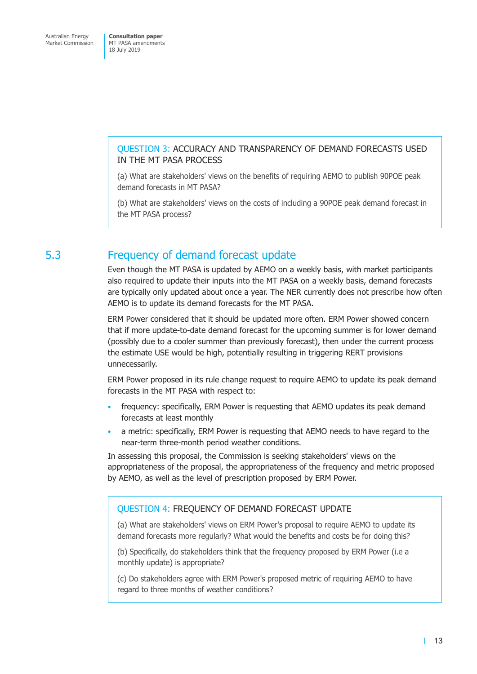#### QUESTION 3: ACCURACY AND TRANSPARENCY OF DEMAND FORECASTS USED IN THE MT PASA PROCESS

(a) What are stakeholders' views on the benefits of requiring AEMO to publish 90POE peak demand forecasts in MT PASA?

(b) What are stakeholders' views on the costs of including a 90POE peak demand forecast in the MT PASA process?

## 5.3 Frequency of demand forecast update

Even though the MT PASA is updated by AEMO on a weekly basis, with market participants also required to update their inputs into the MT PASA on a weekly basis, demand forecasts are typically only updated about once a year. The NER currently does not prescribe how often AEMO is to update its demand forecasts for the MT PASA.

ERM Power considered that it should be updated more often. ERM Power showed concern that if more update-to-date demand forecast for the upcoming summer is for lower demand (possibly due to a cooler summer than previously forecast), then under the current process the estimate USE would be high, potentially resulting in triggering RERT provisions unnecessarily.

ERM Power proposed in its rule change request to require AEMO to update its peak demand forecasts in the MT PASA with respect to:

- frequency: specifically, ERM Power is requesting that AEMO updates its peak demand forecasts at least monthly
- a metric: specifically, ERM Power is requesting that AEMO needs to have regard to the near-term three-month period weather conditions.

In assessing this proposal, the Commission is seeking stakeholders' views on the appropriateness of the proposal, the appropriateness of the frequency and metric proposed by AEMO, as well as the level of prescription proposed by ERM Power.

#### QUESTION 4: FREQUENCY OF DEMAND FORECAST UPDATE

(a) What are stakeholders' views on ERM Power's proposal to require AEMO to update its demand forecasts more regularly? What would the benefits and costs be for doing this?

(b) Specifically, do stakeholders think that the frequency proposed by ERM Power (i.e a monthly update) is appropriate?

(c) Do stakeholders agree with ERM Power's proposed metric of requiring AEMO to have regard to three months of weather conditions?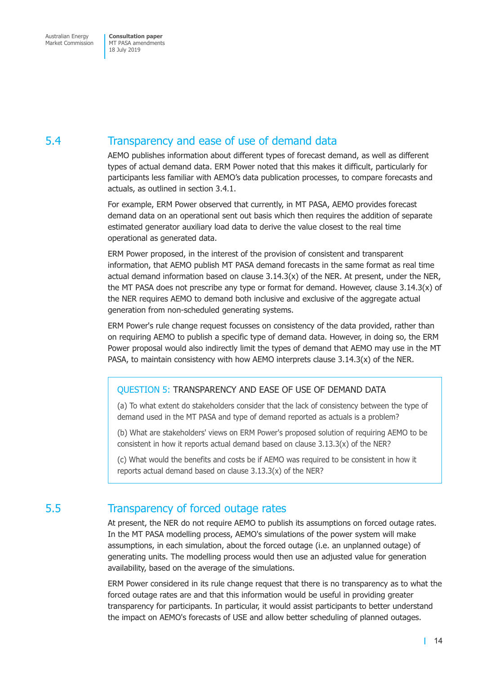## 5.4 Transparency and ease of use of demand data

AEMO publishes information about different types of forecast demand, as well as different types of actual demand data. ERM Power noted that this makes it difficult, particularly for participants less familiar with AEMO's data publication processes, to compare forecasts and actuals, as outlined in section 3.4.1.

For example, ERM Power observed that currently, in MT PASA, AEMO provides forecast demand data on an operational sent out basis which then requires the addition of separate estimated generator auxiliary load data to derive the value closest to the real time operational as generated data.

ERM Power proposed, in the interest of the provision of consistent and transparent information, that AEMO publish MT PASA demand forecasts in the same format as real time actual demand information based on clause  $3.14.3(x)$  of the NER. At present, under the NER, the MT PASA does not prescribe any type or format for demand. However, clause  $3.14.3(x)$  of the NER requires AEMO to demand both inclusive and exclusive of the aggregate actual generation from non-scheduled generating systems.

ERM Power's rule change request focusses on consistency of the data provided, rather than on requiring AEMO to publish a specific type of demand data. However, in doing so, the ERM Power proposal would also indirectly limit the types of demand that AEMO may use in the MT PASA, to maintain consistency with how AEMO interprets clause  $3.14.3(x)$  of the NER.

### QUESTION 5: TRANSPARENCY AND EASE OF USE OF DEMAND DATA

(a) To what extent do stakeholders consider that the lack of consistency between the type of demand used in the MT PASA and type of demand reported as actuals is a problem?

(b) What are stakeholders' views on ERM Power's proposed solution of requiring AEMO to be consistent in how it reports actual demand based on clause 3.13.3(x) of the NER?

(c) What would the benefits and costs be if AEMO was required to be consistent in how it reports actual demand based on clause 3.13.3(x) of the NER?

## 5.5 Transparency of forced outage rates

At present, the NER do not require AEMO to publish its assumptions on forced outage rates. In the MT PASA modelling process, AEMO's simulations of the power system will make assumptions, in each simulation, about the forced outage (i.e. an unplanned outage) of generating units. The modelling process would then use an adjusted value for generation availability, based on the average of the simulations.

ERM Power considered in its rule change request that there is no transparency as to what the forced outage rates are and that this information would be useful in providing greater transparency for participants. In particular, it would assist participants to better understand the impact on AEMO's forecasts of USE and allow better scheduling of planned outages.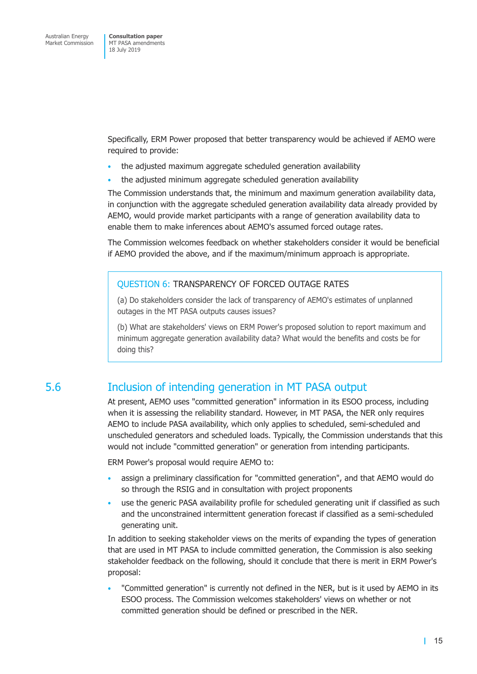Specifically, ERM Power proposed that better transparency would be achieved if AEMO were required to provide:

- the adjusted maximum aggregate scheduled generation availability
- the adjusted minimum aggregate scheduled generation availability

The Commission understands that, the minimum and maximum generation availability data, in conjunction with the aggregate scheduled generation availability data already provided by AEMO, would provide market participants with a range of generation availability data to enable them to make inferences about AEMO's assumed forced outage rates.

The Commission welcomes feedback on whether stakeholders consider it would be beneficial if AEMO provided the above, and if the maximum/minimum approach is appropriate.

#### QUESTION 6: TRANSPARENCY OF FORCED OUTAGE RATES

(a) Do stakeholders consider the lack of transparency of AEMO's estimates of unplanned outages in the MT PASA outputs causes issues?

(b) What are stakeholders' views on ERM Power's proposed solution to report maximum and minimum aggregate generation availability data? What would the benefits and costs be for doing this?

## 5.6 Inclusion of intending generation in MT PASA output

At present, AEMO uses "committed generation" information in its ESOO process, including when it is assessing the reliability standard. However, in MT PASA, the NER only requires AEMO to include PASA availability, which only applies to scheduled, semi-scheduled and unscheduled generators and scheduled loads. Typically, the Commission understands that this would not include "committed generation" or generation from intending participants.

ERM Power's proposal would require AEMO to:

- assign a preliminary classification for "committed generation", and that AEMO would do so through the RSIG and in consultation with project proponents
- use the generic PASA availability profile for scheduled generating unit if classified as such and the unconstrained intermittent generation forecast if classified as a semi-scheduled generating unit.

In addition to seeking stakeholder views on the merits of expanding the types of generation that are used in MT PASA to include committed generation, the Commission is also seeking stakeholder feedback on the following, should it conclude that there is merit in ERM Power's proposal:

• "Committed generation" is currently not defined in the NER, but is it used by AEMO in its ESOO process. The Commission welcomes stakeholders' views on whether or not committed generation should be defined or prescribed in the NER.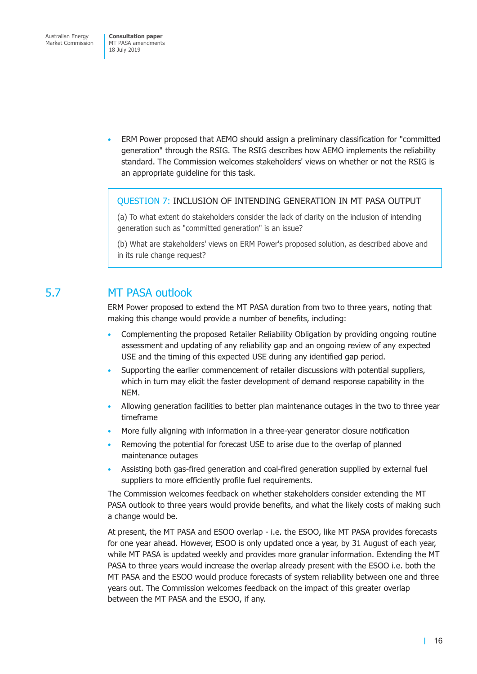• ERM Power proposed that AEMO should assign a preliminary classification for "committed generation" through the RSIG. The RSIG describes how AEMO implements the reliability standard. The Commission welcomes stakeholders' views on whether or not the RSIG is an appropriate guideline for this task.

#### QUESTION 7: INCLUSION OF INTENDING GENERATION IN MT PASA OUTPUT

(a) To what extent do stakeholders consider the lack of clarity on the inclusion of intending generation such as "committed generation" is an issue?

(b) What are stakeholders' views on ERM Power's proposed solution, as described above and in its rule change request?

## 5.7 MT PASA outlook

ERM Power proposed to extend the MT PASA duration from two to three years, noting that making this change would provide a number of benefits, including:

- Complementing the proposed Retailer Reliability Obligation by providing ongoing routine assessment and updating of any reliability gap and an ongoing review of any expected USE and the timing of this expected USE during any identified gap period.
- Supporting the earlier commencement of retailer discussions with potential suppliers, which in turn may elicit the faster development of demand response capability in the NEM.
- Allowing generation facilities to better plan maintenance outages in the two to three year timeframe
- More fully aligning with information in a three-year generator closure notification
- Removing the potential for forecast USE to arise due to the overlap of planned maintenance outages
- Assisting both gas-fired generation and coal-fired generation supplied by external fuel suppliers to more efficiently profile fuel requirements.

The Commission welcomes feedback on whether stakeholders consider extending the MT PASA outlook to three years would provide benefits, and what the likely costs of making such a change would be.

At present, the MT PASA and ESOO overlap - i.e. the ESOO, like MT PASA provides forecasts for one year ahead. However, ESOO is only updated once a year, by 31 August of each year, while MT PASA is updated weekly and provides more granular information. Extending the MT PASA to three years would increase the overlap already present with the ESOO i.e. both the MT PASA and the ESOO would produce forecasts of system reliability between one and three years out. The Commission welcomes feedback on the impact of this greater overlap between the MT PASA and the ESOO, if any.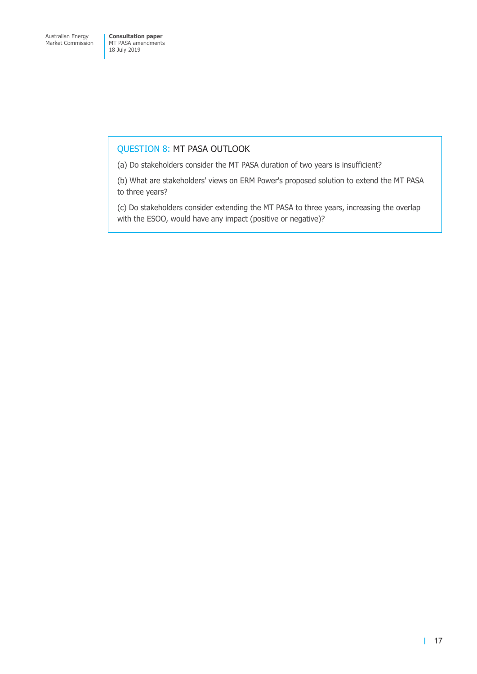#### QUESTION 8: MT PASA OUTLOOK

(a) Do stakeholders consider the MT PASA duration of two years is insufficient?

(b) What are stakeholders' views on ERM Power's proposed solution to extend the MT PASA to three years?

(c) Do stakeholders consider extending the MT PASA to three years, increasing the overlap with the ESOO, would have any impact (positive or negative)?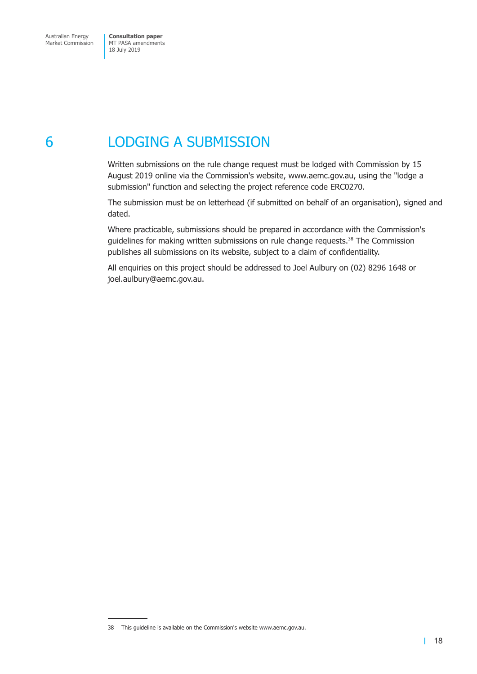## 6 LODGING A SUBMISSION

Written submissions on the rule change request must be lodged with Commission by 15 August 2019 online via the Commission's website, www.aemc.gov.au, using the "lodge a submission" function and selecting the project reference code ERC0270.

The submission must be on letterhead (if submitted on behalf of an organisation), signed and dated.

Where practicable, submissions should be prepared in accordance with the Commission's guidelines for making written submissions on rule change requests.<sup>38</sup> The Commission publishes all submissions on its website, subject to a claim of confidentiality.

All enquiries on this project should be addressed to Joel Aulbury on (02) 8296 1648 or joel.aulbury@aemc.gov.au.

<sup>38</sup> This guideline is available on the Commission's website www.aemc.gov.au.